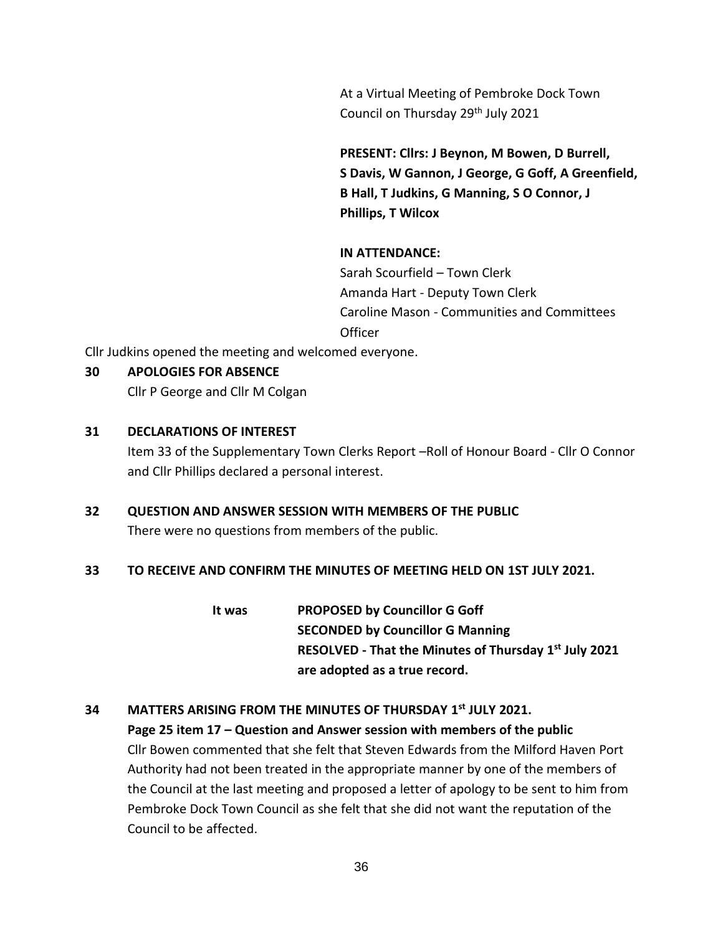At a Virtual Meeting of Pembroke Dock Town Council on Thursday 29<sup>th</sup> July 2021

**PRESENT: Cllrs: J Beynon, M Bowen, D Burrell, S Davis, W Gannon, J George, G Goff, A Greenfield, B Hall, T Judkins, G Manning, S O Connor, J Phillips, T Wilcox**

### **IN ATTENDANCE:**

Sarah Scourfield – Town Clerk Amanda Hart - Deputy Town Clerk Caroline Mason - Communities and Committees **Officer** 

Cllr Judkins opened the meeting and welcomed everyone.

### **30 APOLOGIES FOR ABSENCE**

Cllr P George and Cllr M Colgan

### **31 DECLARATIONS OF INTEREST**

Item 33 of the Supplementary Town Clerks Report –Roll of Honour Board - Cllr O Connor and Cllr Phillips declared a personal interest.

# **32 QUESTION AND ANSWER SESSION WITH MEMBERS OF THE PUBLIC**

There were no questions from members of the public.

### **33 TO RECEIVE AND CONFIRM THE MINUTES OF MEETING HELD ON 1ST JULY 2021.**

**It was PROPOSED by Councillor G Goff SECONDED by Councillor G Manning RESOLVED - That the Minutes of Thursday 1 st July 2021 are adopted as a true record.**

## **34 MATTERS ARISING FROM THE MINUTES OF THURSDAY 1 st JULY 2021.**

**Page 25 item 17 – Question and Answer session with members of the public** Cllr Bowen commented that she felt that Steven Edwards from the Milford Haven Port Authority had not been treated in the appropriate manner by one of the members of the Council at the last meeting and proposed a letter of apology to be sent to him from Pembroke Dock Town Council as she felt that she did not want the reputation of the Council to be affected.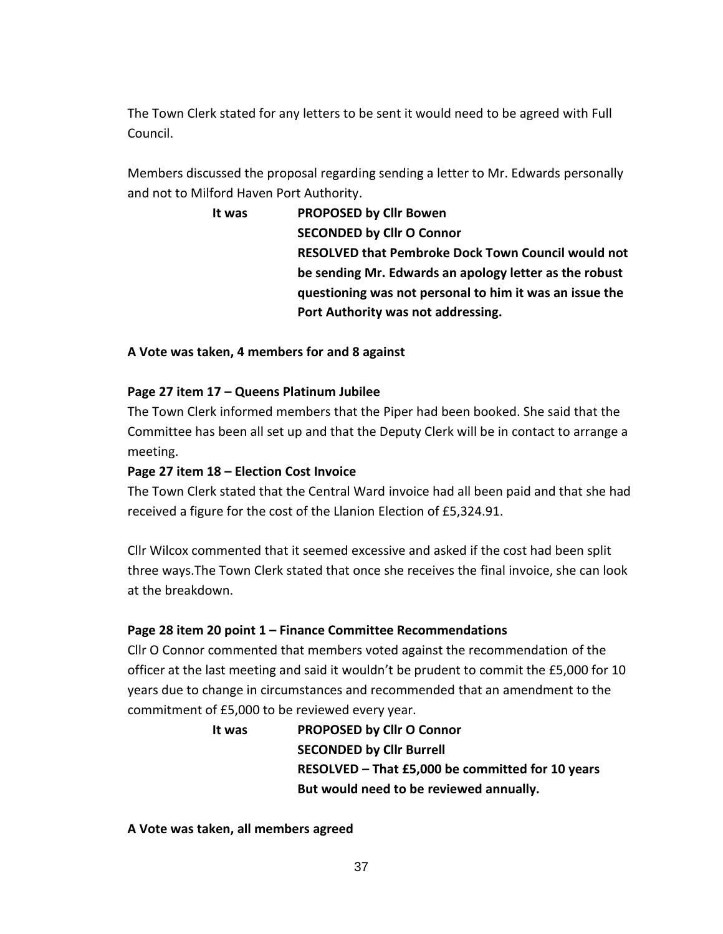The Town Clerk stated for any letters to be sent it would need to be agreed with Full Council.

Members discussed the proposal regarding sending a letter to Mr. Edwards personally and not to Milford Haven Port Authority.

> **It was PROPOSED by Cllr Bowen SECONDED by Cllr O Connor RESOLVED that Pembroke Dock Town Council would not be sending Mr. Edwards an apology letter as the robust questioning was not personal to him it was an issue the Port Authority was not addressing.**

### **A Vote was taken, 4 members for and 8 against**

### **Page 27 item 17 – Queens Platinum Jubilee**

The Town Clerk informed members that the Piper had been booked. She said that the Committee has been all set up and that the Deputy Clerk will be in contact to arrange a meeting.

### **Page 27 item 18 – Election Cost Invoice**

The Town Clerk stated that the Central Ward invoice had all been paid and that she had received a figure for the cost of the Llanion Election of £5,324.91.

Cllr Wilcox commented that it seemed excessive and asked if the cost had been split three ways.The Town Clerk stated that once she receives the final invoice, she can look at the breakdown.

### **Page 28 item 20 point 1 – Finance Committee Recommendations**

Cllr O Connor commented that members voted against the recommendation of the officer at the last meeting and said it wouldn't be prudent to commit the £5,000 for 10 years due to change in circumstances and recommended that an amendment to the commitment of £5,000 to be reviewed every year.

> **It was PROPOSED by Cllr O Connor SECONDED by Cllr Burrell RESOLVED – That £5,000 be committed for 10 years But would need to be reviewed annually.**

**A Vote was taken, all members agreed**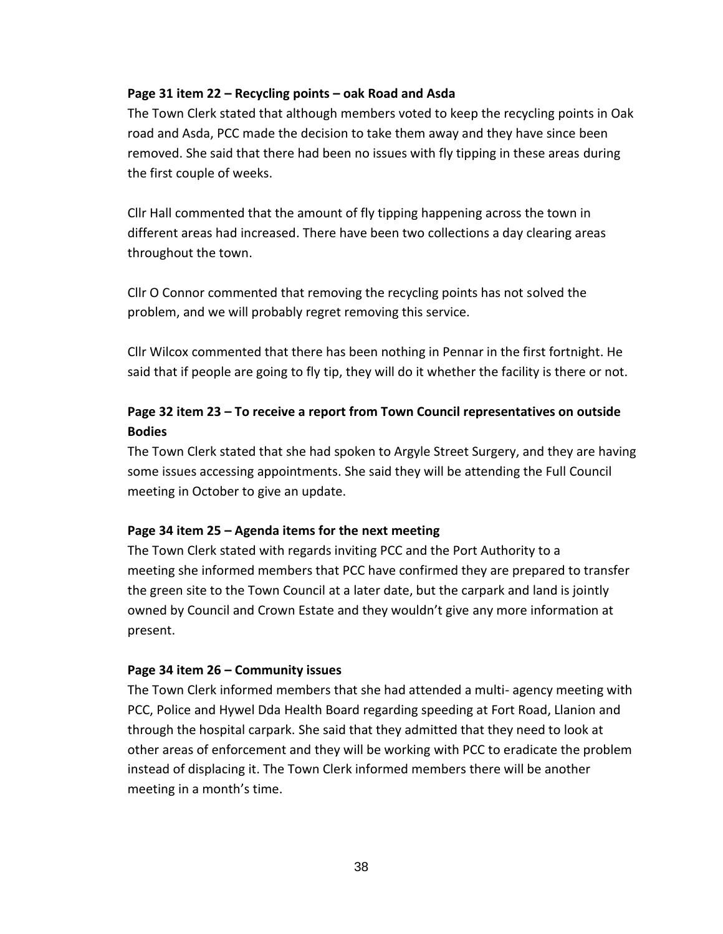#### **Page 31 item 22 – Recycling points – oak Road and Asda**

The Town Clerk stated that although members voted to keep the recycling points in Oak road and Asda, PCC made the decision to take them away and they have since been removed. She said that there had been no issues with fly tipping in these areas during the first couple of weeks.

Cllr Hall commented that the amount of fly tipping happening across the town in different areas had increased. There have been two collections a day clearing areas throughout the town.

Cllr O Connor commented that removing the recycling points has not solved the problem, and we will probably regret removing this service.

Cllr Wilcox commented that there has been nothing in Pennar in the first fortnight. He said that if people are going to fly tip, they will do it whether the facility is there or not.

# **Page 32 item 23 – To receive a report from Town Council representatives on outside Bodies**

The Town Clerk stated that she had spoken to Argyle Street Surgery, and they are having some issues accessing appointments. She said they will be attending the Full Council meeting in October to give an update.

### **Page 34 item 25 – Agenda items for the next meeting**

The Town Clerk stated with regards inviting PCC and the Port Authority to a meeting she informed members that PCC have confirmed they are prepared to transfer the green site to the Town Council at a later date, but the carpark and land is jointly owned by Council and Crown Estate and they wouldn't give any more information at present.

### **Page 34 item 26 – Community issues**

The Town Clerk informed members that she had attended a multi- agency meeting with PCC, Police and Hywel Dda Health Board regarding speeding at Fort Road, Llanion and through the hospital carpark. She said that they admitted that they need to look at other areas of enforcement and they will be working with PCC to eradicate the problem instead of displacing it. The Town Clerk informed members there will be another meeting in a month's time.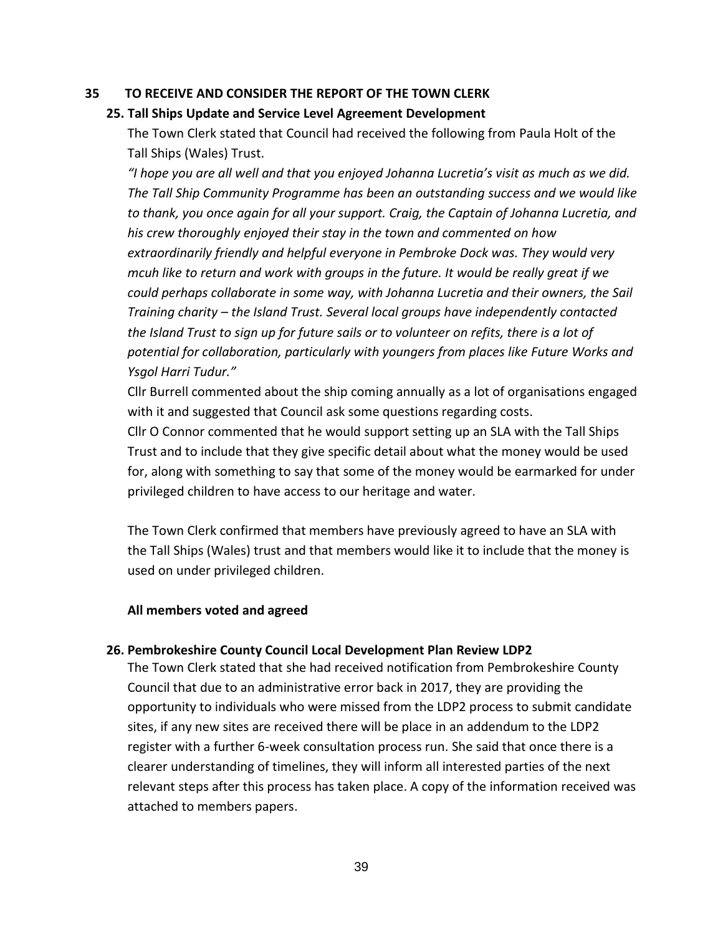### **35 TO RECEIVE AND CONSIDER THE REPORT OF THE TOWN CLERK**

### **25. Tall Ships Update and Service Level Agreement Development**

The Town Clerk stated that Council had received the following from Paula Holt of the Tall Ships (Wales) Trust.

*"I hope you are all well and that you enjoyed Johanna Lucretia's visit as much as we did. The Tall Ship Community Programme has been an outstanding success and we would like to thank, you once again for all your support. Craig, the Captain of Johanna Lucretia, and his crew thoroughly enjoyed their stay in the town and commented on how extraordinarily friendly and helpful everyone in Pembroke Dock was. They would very mcuh like to return and work with groups in the future. It would be really great if we could perhaps collaborate in some way, with Johanna Lucretia and their owners, the Sail Training charity – the Island Trust. Several local groups have independently contacted the Island Trust to sign up for future sails or to volunteer on refits, there is a lot of potential for collaboration, particularly with youngers from places like Future Works and Ysgol Harri Tudur."*

Cllr Burrell commented about the ship coming annually as a lot of organisations engaged with it and suggested that Council ask some questions regarding costs.

Cllr O Connor commented that he would support setting up an SLA with the Tall Ships Trust and to include that they give specific detail about what the money would be used for, along with something to say that some of the money would be earmarked for under privileged children to have access to our heritage and water.

The Town Clerk confirmed that members have previously agreed to have an SLA with the Tall Ships (Wales) trust and that members would like it to include that the money is used on under privileged children.

#### **All members voted and agreed**

### **26. Pembrokeshire County Council Local Development Plan Review LDP2**

The Town Clerk stated that she had received notification from Pembrokeshire County Council that due to an administrative error back in 2017, they are providing the opportunity to individuals who were missed from the LDP2 process to submit candidate sites, if any new sites are received there will be place in an addendum to the LDP2 register with a further 6-week consultation process run. She said that once there is a clearer understanding of timelines, they will inform all interested parties of the next relevant steps after this process has taken place. A copy of the information received was attached to members papers.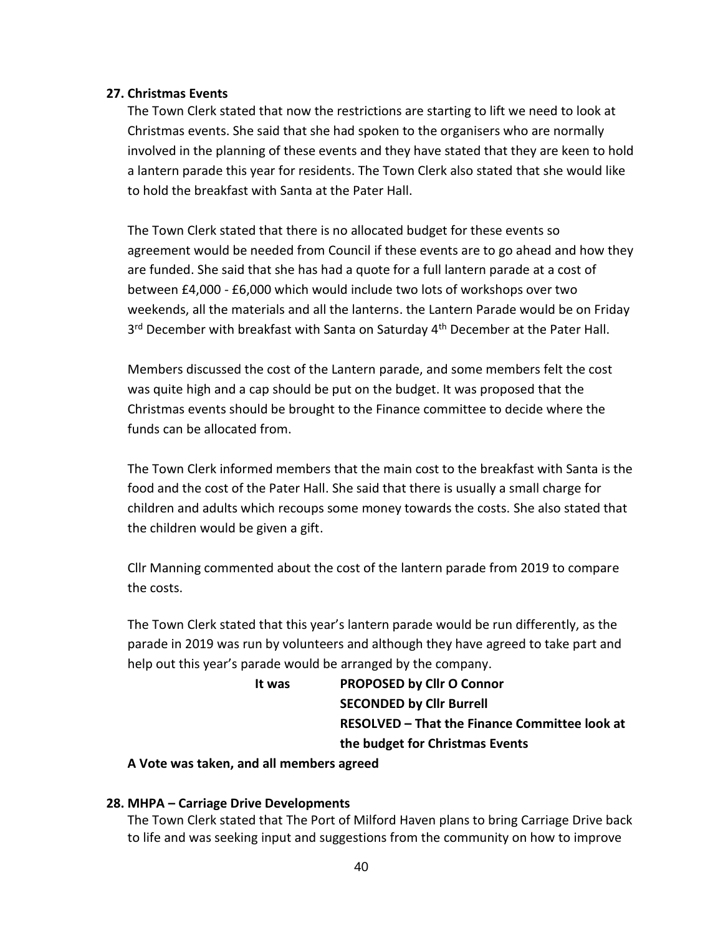### **27. Christmas Events**

The Town Clerk stated that now the restrictions are starting to lift we need to look at Christmas events. She said that she had spoken to the organisers who are normally involved in the planning of these events and they have stated that they are keen to hold a lantern parade this year for residents. The Town Clerk also stated that she would like to hold the breakfast with Santa at the Pater Hall.

The Town Clerk stated that there is no allocated budget for these events so agreement would be needed from Council if these events are to go ahead and how they are funded. She said that she has had a quote for a full lantern parade at a cost of between £4,000 - £6,000 which would include two lots of workshops over two weekends, all the materials and all the lanterns. the Lantern Parade would be on Friday 3<sup>rd</sup> December with breakfast with Santa on Saturday 4<sup>th</sup> December at the Pater Hall.

Members discussed the cost of the Lantern parade, and some members felt the cost was quite high and a cap should be put on the budget. It was proposed that the Christmas events should be brought to the Finance committee to decide where the funds can be allocated from.

The Town Clerk informed members that the main cost to the breakfast with Santa is the food and the cost of the Pater Hall. She said that there is usually a small charge for children and adults which recoups some money towards the costs. She also stated that the children would be given a gift.

Cllr Manning commented about the cost of the lantern parade from 2019 to compare the costs.

The Town Clerk stated that this year's lantern parade would be run differently, as the parade in 2019 was run by volunteers and although they have agreed to take part and help out this year's parade would be arranged by the company.

| lt was | <b>PROPOSED by Cllr O Connor</b>              |
|--------|-----------------------------------------------|
|        | <b>SECONDED by Cllr Burrell</b>               |
|        | RESOLVED - That the Finance Committee look at |
|        | the budget for Christmas Events               |
|        |                                               |

**A Vote was taken, and all members agreed**

### **28. MHPA – Carriage Drive Developments**

The Town Clerk stated that The Port of Milford Haven plans to bring Carriage Drive back to life and was seeking input and suggestions from the community on how to improve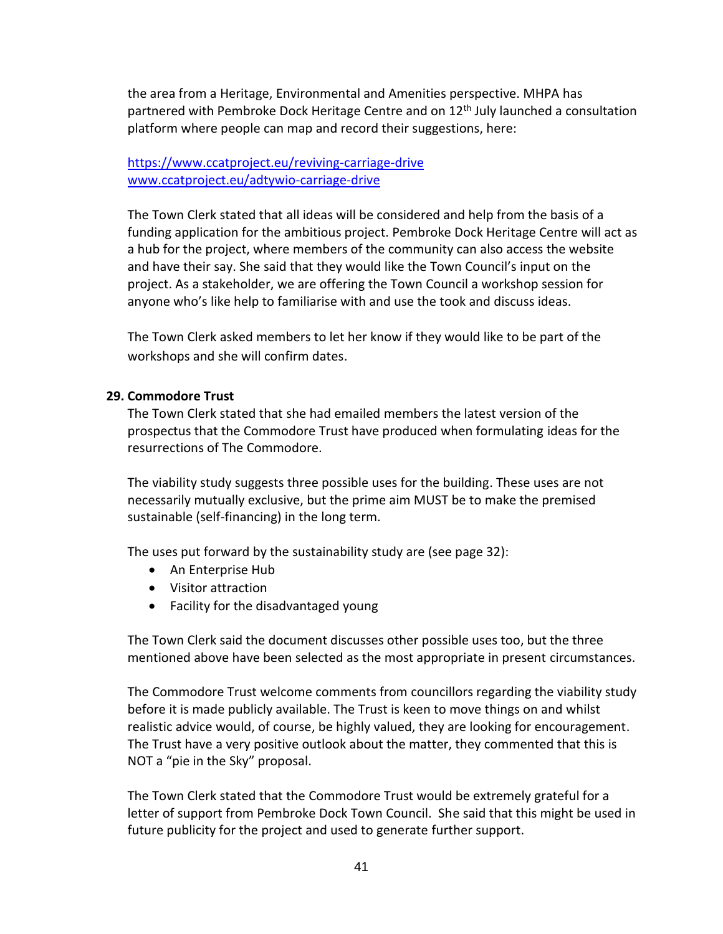the area from a Heritage, Environmental and Amenities perspective. MHPA has partnered with Pembroke Dock Heritage Centre and on 12<sup>th</sup> July launched a consultation platform where people can map and record their suggestions, here:

<https://www.ccatproject.eu/reviving-carriage-drive> [www.ccatproject.eu/adtywio-carriage-drive](http://www.ccatproject.eu/adtywio-carriage-drive)

The Town Clerk stated that all ideas will be considered and help from the basis of a funding application for the ambitious project. Pembroke Dock Heritage Centre will act as a hub for the project, where members of the community can also access the website and have their say. She said that they would like the Town Council's input on the project. As a stakeholder, we are offering the Town Council a workshop session for anyone who's like help to familiarise with and use the took and discuss ideas.

The Town Clerk asked members to let her know if they would like to be part of the workshops and she will confirm dates.

### **29. Commodore Trust**

The Town Clerk stated that she had emailed members the latest version of the prospectus that the Commodore Trust have produced when formulating ideas for the resurrections of The Commodore.

The viability study suggests three possible uses for the building. These uses are not necessarily mutually exclusive, but the prime aim MUST be to make the premised sustainable (self-financing) in the long term.

The uses put forward by the sustainability study are (see page 32):

- An Enterprise Hub
- Visitor attraction
- Facility for the disadvantaged young

The Town Clerk said the document discusses other possible uses too, but the three mentioned above have been selected as the most appropriate in present circumstances.

The Commodore Trust welcome comments from councillors regarding the viability study before it is made publicly available. The Trust is keen to move things on and whilst realistic advice would, of course, be highly valued, they are looking for encouragement. The Trust have a very positive outlook about the matter, they commented that this is NOT a "pie in the Sky" proposal.

The Town Clerk stated that the Commodore Trust would be extremely grateful for a letter of support from Pembroke Dock Town Council. She said that this might be used in future publicity for the project and used to generate further support.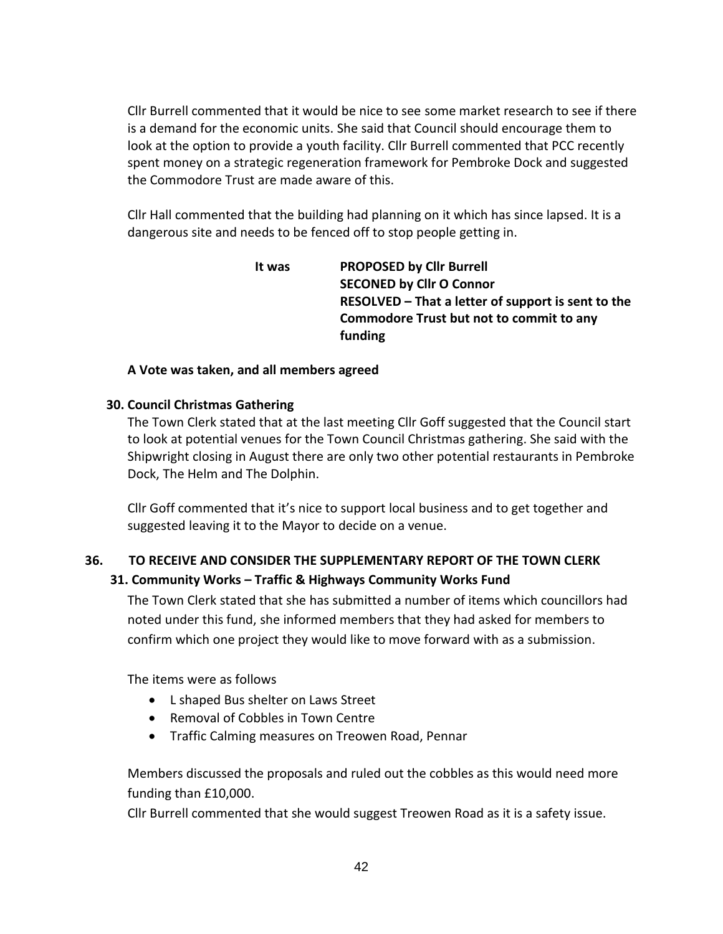Cllr Burrell commented that it would be nice to see some market research to see if there is a demand for the economic units. She said that Council should encourage them to look at the option to provide a youth facility. Cllr Burrell commented that PCC recently spent money on a strategic regeneration framework for Pembroke Dock and suggested the Commodore Trust are made aware of this.

Cllr Hall commented that the building had planning on it which has since lapsed. It is a dangerous site and needs to be fenced off to stop people getting in.

> **It was PROPOSED by Cllr Burrell SECONED by Cllr O Connor RESOLVED – That a letter of support is sent to the Commodore Trust but not to commit to any funding**

### **A Vote was taken, and all members agreed**

### **30. Council Christmas Gathering**

The Town Clerk stated that at the last meeting Cllr Goff suggested that the Council start to look at potential venues for the Town Council Christmas gathering. She said with the Shipwright closing in August there are only two other potential restaurants in Pembroke Dock, The Helm and The Dolphin.

Cllr Goff commented that it's nice to support local business and to get together and suggested leaving it to the Mayor to decide on a venue.

## **36. TO RECEIVE AND CONSIDER THE SUPPLEMENTARY REPORT OF THE TOWN CLERK 31. Community Works – Traffic & Highways Community Works Fund**

The Town Clerk stated that she has submitted a number of items which councillors had noted under this fund, she informed members that they had asked for members to confirm which one project they would like to move forward with as a submission.

The items were as follows

- L shaped Bus shelter on Laws Street
- Removal of Cobbles in Town Centre
- Traffic Calming measures on Treowen Road, Pennar

Members discussed the proposals and ruled out the cobbles as this would need more funding than £10,000.

Cllr Burrell commented that she would suggest Treowen Road as it is a safety issue.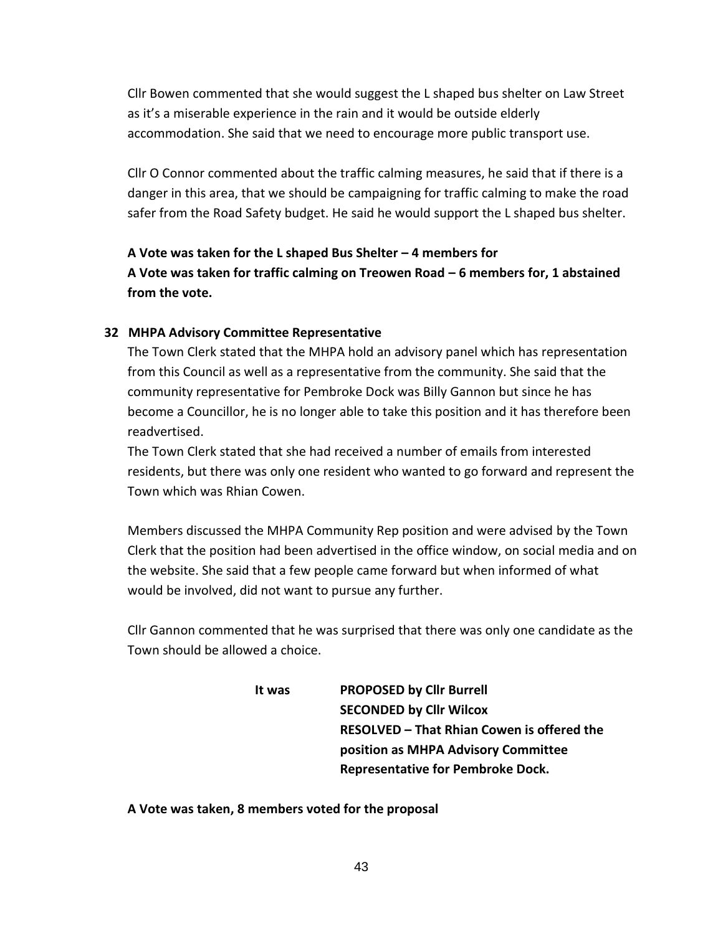Cllr Bowen commented that she would suggest the L shaped bus shelter on Law Street as it's a miserable experience in the rain and it would be outside elderly accommodation. She said that we need to encourage more public transport use.

Cllr O Connor commented about the traffic calming measures, he said that if there is a danger in this area, that we should be campaigning for traffic calming to make the road safer from the Road Safety budget. He said he would support the L shaped bus shelter.

**A Vote was taken for the L shaped Bus Shelter – 4 members for A Vote was taken for traffic calming on Treowen Road – 6 members for, 1 abstained from the vote.**

#### **32 MHPA Advisory Committee Representative**

The Town Clerk stated that the MHPA hold an advisory panel which has representation from this Council as well as a representative from the community. She said that the community representative for Pembroke Dock was Billy Gannon but since he has become a Councillor, he is no longer able to take this position and it has therefore been readvertised.

The Town Clerk stated that she had received a number of emails from interested residents, but there was only one resident who wanted to go forward and represent the Town which was Rhian Cowen.

Members discussed the MHPA Community Rep position and were advised by the Town Clerk that the position had been advertised in the office window, on social media and on the website. She said that a few people came forward but when informed of what would be involved, did not want to pursue any further.

Cllr Gannon commented that he was surprised that there was only one candidate as the Town should be allowed a choice.

> **It was PROPOSED by Cllr Burrell SECONDED by Cllr Wilcox RESOLVED – That Rhian Cowen is offered the position as MHPA Advisory Committee Representative for Pembroke Dock.**

**A Vote was taken, 8 members voted for the proposal**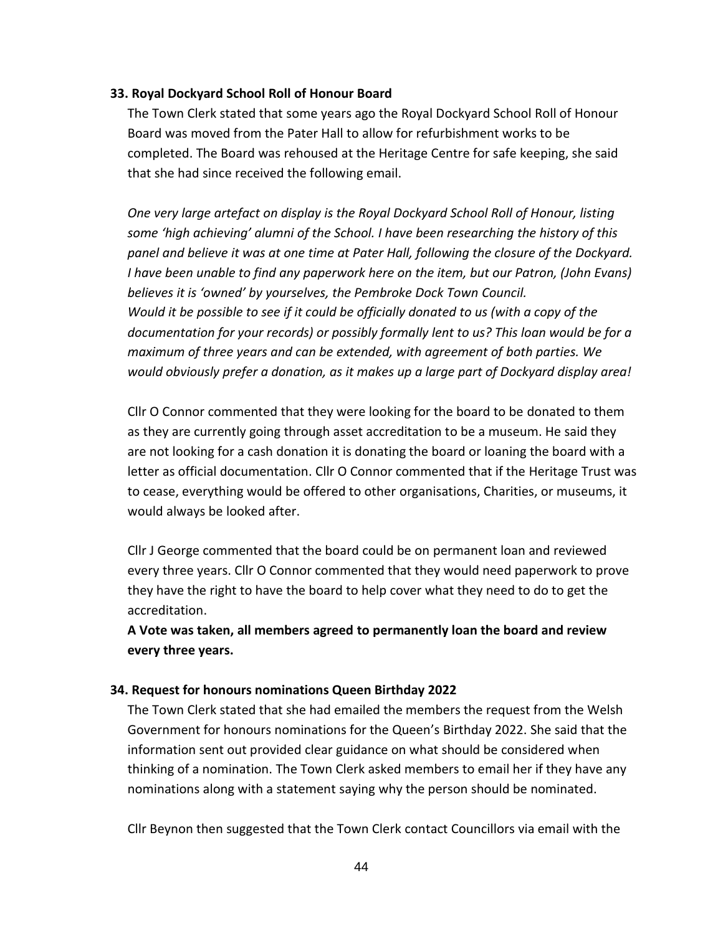### **33. Royal Dockyard School Roll of Honour Board**

The Town Clerk stated that some years ago the Royal Dockyard School Roll of Honour Board was moved from the Pater Hall to allow for refurbishment works to be completed. The Board was rehoused at the Heritage Centre for safe keeping, she said that she had since received the following email.

*One very large artefact on display is the Royal Dockyard School Roll of Honour, listing some 'high achieving' alumni of the School. I have been researching the history of this panel and believe it was at one time at Pater Hall, following the closure of the Dockyard. I have been unable to find any paperwork here on the item, but our Patron, (John Evans) believes it is 'owned' by yourselves, the Pembroke Dock Town Council. Would it be possible to see if it could be officially donated to us (with a copy of the documentation for your records) or possibly formally lent to us? This loan would be for a maximum of three years and can be extended, with agreement of both parties. We would obviously prefer a donation, as it makes up a large part of Dockyard display area!*

Cllr O Connor commented that they were looking for the board to be donated to them as they are currently going through asset accreditation to be a museum. He said they are not looking for a cash donation it is donating the board or loaning the board with a letter as official documentation. Cllr O Connor commented that if the Heritage Trust was to cease, everything would be offered to other organisations, Charities, or museums, it would always be looked after.

Cllr J George commented that the board could be on permanent loan and reviewed every three years. Cllr O Connor commented that they would need paperwork to prove they have the right to have the board to help cover what they need to do to get the accreditation.

**A Vote was taken, all members agreed to permanently loan the board and review every three years.**

### **34. Request for honours nominations Queen Birthday 2022**

The Town Clerk stated that she had emailed the members the request from the Welsh Government for honours nominations for the Queen's Birthday 2022. She said that the information sent out provided clear guidance on what should be considered when thinking of a nomination. The Town Clerk asked members to email her if they have any nominations along with a statement saying why the person should be nominated.

Cllr Beynon then suggested that the Town Clerk contact Councillors via email with the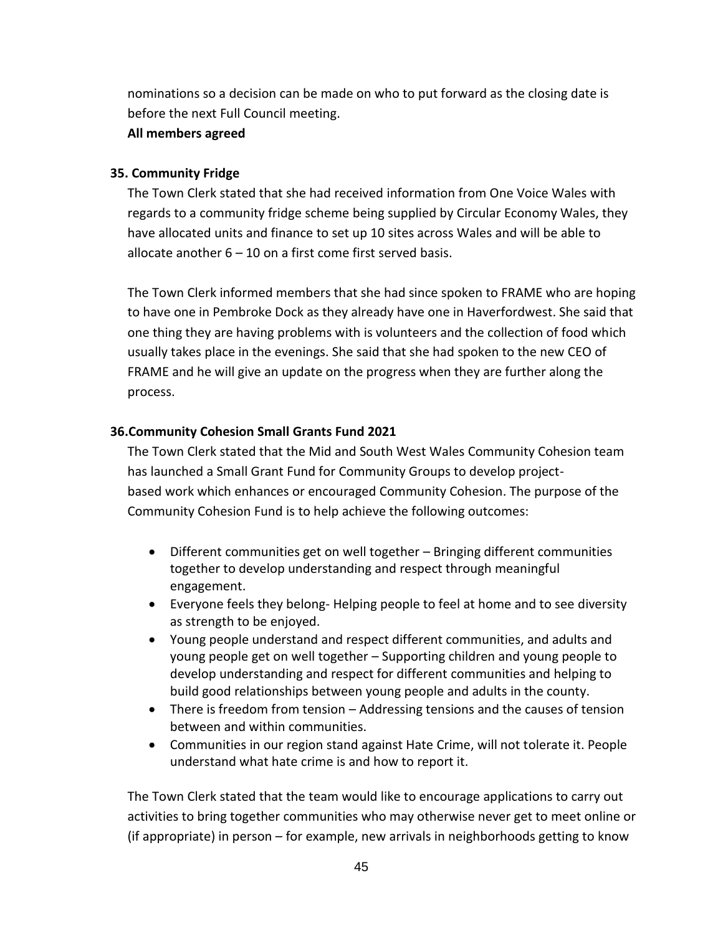nominations so a decision can be made on who to put forward as the closing date is before the next Full Council meeting.

### **All members agreed**

### **35. Community Fridge**

The Town Clerk stated that she had received information from One Voice Wales with regards to a community fridge scheme being supplied by Circular Economy Wales, they have allocated units and finance to set up 10 sites across Wales and will be able to allocate another 6 – 10 on a first come first served basis.

The Town Clerk informed members that she had since spoken to FRAME who are hoping to have one in Pembroke Dock as they already have one in Haverfordwest. She said that one thing they are having problems with is volunteers and the collection of food which usually takes place in the evenings. She said that she had spoken to the new CEO of FRAME and he will give an update on the progress when they are further along the process.

## **36.Community Cohesion Small Grants Fund 2021**

The Town Clerk stated that the Mid and South West Wales Community Cohesion team has launched a Small Grant Fund for Community Groups to develop projectbased work which enhances or encouraged Community Cohesion. The purpose of the Community Cohesion Fund is to help achieve the following outcomes:

- Different communities get on well together Bringing different communities together to develop understanding and respect through meaningful engagement.
- Everyone feels they belong- Helping people to feel at home and to see diversity as strength to be enjoyed.
- Young people understand and respect different communities, and adults and young people get on well together – Supporting children and young people to develop understanding and respect for different communities and helping to build good relationships between young people and adults in the county.
- There is freedom from tension Addressing tensions and the causes of tension between and within communities.
- Communities in our region stand against Hate Crime, will not tolerate it. People understand what hate crime is and how to report it.

The Town Clerk stated that the team would like to encourage applications to carry out activities to bring together communities who may otherwise never get to meet online or (if appropriate) in person – for example, new arrivals in neighborhoods getting to know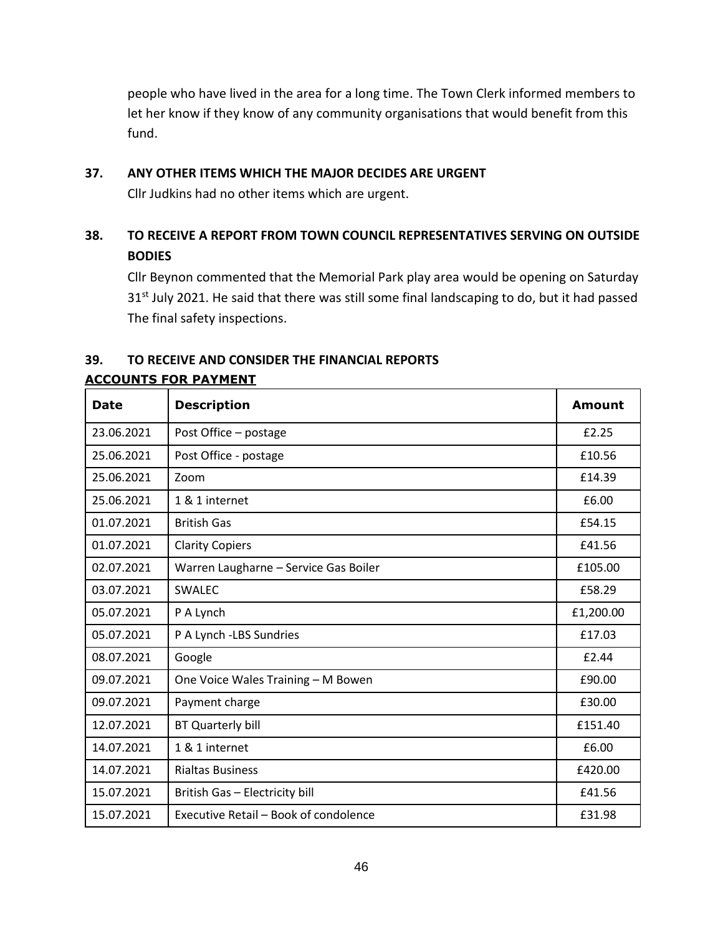people who have lived in the area for a long time. The Town Clerk informed members to let her know if they know of any community organisations that would benefit from this fund.

### **37. ANY OTHER ITEMS WHICH THE MAJOR DECIDES ARE URGENT**

Cllr Judkins had no other items which are urgent.

# **38. TO RECEIVE A REPORT FROM TOWN COUNCIL REPRESENTATIVES SERVING ON OUTSIDE BODIES**

Cllr Beynon commented that the Memorial Park play area would be opening on Saturday 31<sup>st</sup> July 2021. He said that there was still some final landscaping to do, but it had passed The final safety inspections.

# **39. TO RECEIVE AND CONSIDER THE FINANCIAL REPORTS**

| <b>Date</b> | <b>Description</b>                    | Amount    |
|-------------|---------------------------------------|-----------|
| 23.06.2021  | Post Office - postage                 | £2.25     |
| 25.06.2021  | Post Office - postage                 | £10.56    |
| 25.06.2021  | Zoom                                  | £14.39    |
| 25.06.2021  | 1 & 1 internet                        | £6.00     |
| 01.07.2021  | <b>British Gas</b>                    | £54.15    |
| 01.07.2021  | <b>Clarity Copiers</b>                | £41.56    |
| 02.07.2021  | Warren Laugharne - Service Gas Boiler | £105.00   |
| 03.07.2021  | SWALEC                                | £58.29    |
| 05.07.2021  | P A Lynch                             | £1,200.00 |
| 05.07.2021  | P A Lynch -LBS Sundries               | £17.03    |
| 08.07.2021  | Google                                | £2.44     |
| 09.07.2021  | One Voice Wales Training - M Bowen    | £90.00    |
| 09.07.2021  | Payment charge                        | £30.00    |
| 12.07.2021  | BT Quarterly bill                     | £151.40   |
| 14.07.2021  | 1 & 1 internet                        | £6.00     |
| 14.07.2021  | <b>Rialtas Business</b>               | £420.00   |
| 15.07.2021  | British Gas - Electricity bill        | £41.56    |
| 15.07.2021  | Executive Retail – Book of condolence | £31.98    |

## **ACCOUNTS FOR PAYMENT**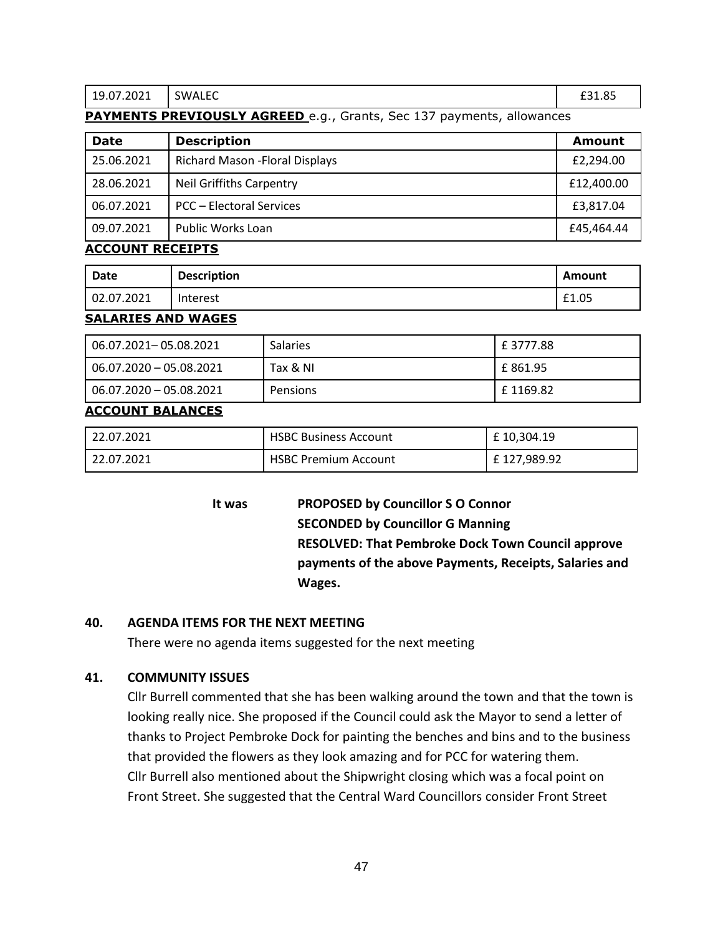19.07.2021 SWALEC **E31.85** 

### **PAYMENTS PREVIOUSLY AGREED** e.g., Grants, Sec 137 payments, allowances

| <b>Date</b> | <b>Description</b>                     | Amount     |
|-------------|----------------------------------------|------------|
| 25.06.2021  | <b>Richard Mason - Floral Displays</b> | £2,294.00  |
| 28.06.2021  | <b>Neil Griffiths Carpentry</b>        | £12,400.00 |
| 06.07.2021  | <b>PCC - Electoral Services</b>        | £3,817.04  |
| 09.07.2021  | Public Works Loan                      | £45,464.44 |

#### **ACCOUNT RECEIPTS**

| Date       | <b>Description</b> | Amount      |
|------------|--------------------|-------------|
| 02.07.2021 | Interest           | £1.05<br>€1 |

#### **SALARIES AND WAGES**

| 06.07.2021-05.08.2021      | <b>Salaries</b> | £3777.88  |
|----------------------------|-----------------|-----------|
| 06.07.2020 - 05.08.2021    | Tax & NI        | E 861.95  |
| $-06.07.2020 - 05.08.2021$ | Pensions        | E 1169.82 |

### **ACCOUNT BALANCES**

| 22.07.2021 | <b>HSBC Business Account</b> | £10,304.19  |
|------------|------------------------------|-------------|
| 22.07.2021 | <b>HSBC Premium Account</b>  | £127,989.92 |

**It was PROPOSED by Councillor S O Connor SECONDED by Councillor G Manning RESOLVED: That Pembroke Dock Town Council approve payments of the above Payments, Receipts, Salaries and Wages.**

#### **40. AGENDA ITEMS FOR THE NEXT MEETING**

There were no agenda items suggested for the next meeting

### **41. COMMUNITY ISSUES**

Cllr Burrell commented that she has been walking around the town and that the town is looking really nice. She proposed if the Council could ask the Mayor to send a letter of thanks to Project Pembroke Dock for painting the benches and bins and to the business that provided the flowers as they look amazing and for PCC for watering them. Cllr Burrell also mentioned about the Shipwright closing which was a focal point on Front Street. She suggested that the Central Ward Councillors consider Front Street